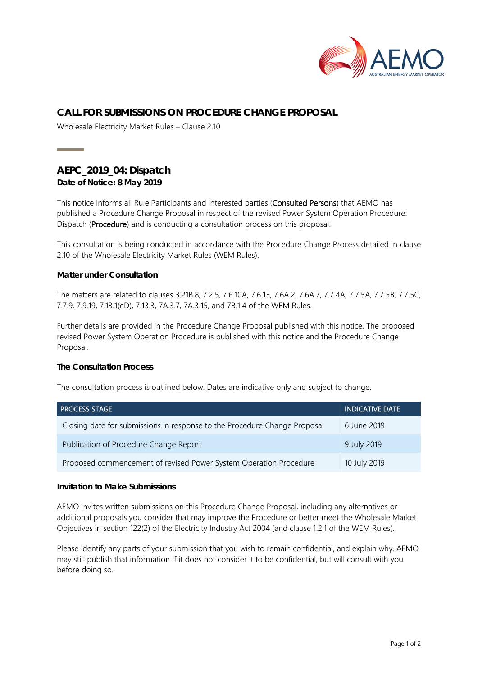

# **CALL FOR SUBMISSIONS ON PROCEDURE CHANGE PROPOSAL**

Wholesale Electricity Market Rules – Clause 2.10

## **AEPC\_2019\_04: Dispatch Date of Notice: 8 May 2019**

**Contract Contract** 

This notice informs all Rule Participants and interested parties (Consulted Persons) that AEMO has published a Procedure Change Proposal in respect of the revised Power System Operation Procedure: Dispatch (Procedure) and is conducting a consultation process on this proposal.

This consultation is being conducted in accordance with the Procedure Change Process detailed in clause 2.10 of the Wholesale Electricity Market Rules (WEM Rules).

## **Matter under Consultation**

The matters are related to clauses 3.21B.8, 7.2.5, 7.6.10A, 7.6.13, 7.6A.2, 7.6A.7, 7.7.4A, 7.7.5A, 7.7.5B, 7.7.5C, 7.7.9, 7.9.19, 7.13.1(eD), 7.13.3, 7A.3.7, 7A.3.15, and 7B.1.4 of the WEM Rules.

Further details are provided in the Procedure Change Proposal published with this notice. The proposed revised Power System Operation Procedure is published with this notice and the Procedure Change Proposal.

#### **The Consultation Process**

The consultation process is outlined below. Dates are indicative only and subject to change.

| <b>PROCESS STAGE</b>                                                      | INDICATIVE DATE |
|---------------------------------------------------------------------------|-----------------|
| Closing date for submissions in response to the Procedure Change Proposal | 6 June 2019     |
| Publication of Procedure Change Report                                    | 9 July 2019     |
| Proposed commencement of revised Power System Operation Procedure         | 10 July 2019    |

#### **Invitation to Make Submissions**

AEMO invites written submissions on this Procedure Change Proposal, including any alternatives or additional proposals you consider that may improve the Procedure or better meet the Wholesale Market Objectives in section 122(2) of the Electricity Industry Act 2004 (and clause 1.2.1 of the WEM Rules).

Please identify any parts of your submission that you wish to remain confidential, and explain why. AEMO may still publish that information if it does not consider it to be confidential, but will consult with you before doing so.